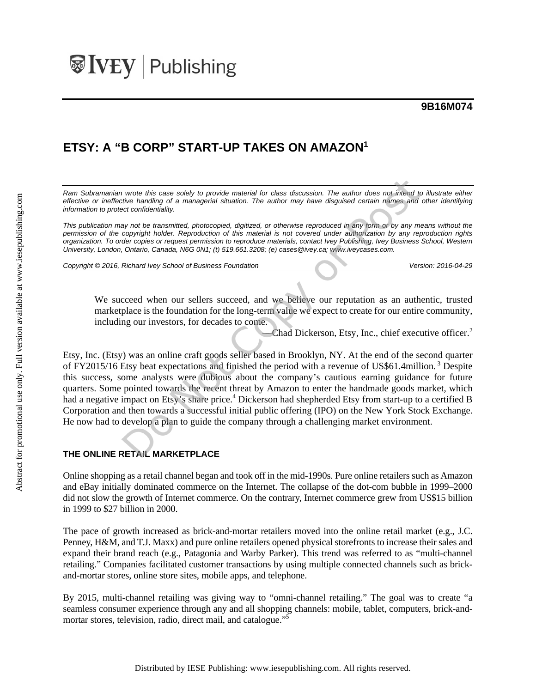## **9B16M074**

# **ETSY: A "B CORP" START-UP TAKES ON AMAZON1**

*Ram Subramanian wrote this case solely to provide material for class discussion. The author does not intend to illustrate either effective or ineffective handling of a managerial situation. The author may have disguised certain names and other identifying information to protect confidentiality.* 

*This publication may not be transmitted, photocopied, digitized, or otherwise reproduced in any form or by any means without the permission of the copyright holder. Reproduction of this material is not covered under authorization by any reproduction rights organization. To order copies or request permission to reproduce materials, contact Ivey Publishing, Ivey Business School, Western University, London, Ontario, Canada, N6G 0N1; (t) 519.661.3208; (e) cases@ivey.ca; www.iveycases.com.* 

*Copyright © 2016, Richard Ivey School of Business Foundation Version: 2016-04-29* 

We succeed when our sellers succeed, and we believe our reputation as an authentic, trusted marketplace is the foundation for the long-term value we expect to create for our entire community, including our investors, for decades to come.

-Chad Dickerson, Etsy, Inc., chief executive officer.<sup>2</sup>

Etsy, Inc. (Etsy) was an online craft goods seller based in Brooklyn, NY. At the end of the second quarter of FY2015/16 Etsy beat expectations and finished the period with a revenue of US\$61.4million. 3 Despite this success, some analysts were dubious about the company's cautious earning guidance for future quarters. Some pointed towards the recent threat by Amazon to enter the handmade goods market, which had a negative impact on Etsy's share price.<sup>4</sup> Dickerson had shepherded Etsy from start-up to a certified B Corporation and then towards a successful initial public offering (IPO) on the New York Stock Exchange. He now had to develop a plan to guide the company through a challenging market environment.

## **THE ONLINE RETAIL MARKETPLACE**

Online shopping as a retail channel began and took off in the mid-1990s. Pure online retailers such as Amazon and eBay initially dominated commerce on the Internet. The collapse of the dot-com bubble in 1999–2000 did not slow the growth of Internet commerce. On the contrary, Internet commerce grew from US\$15 billion in 1999 to \$27 billion in 2000.

The pace of growth increased as brick-and-mortar retailers moved into the online retail market (e.g., J.C. Penney, H&M, and T.J. Maxx) and pure online retailers opened physical storefronts to increase their sales and expand their brand reach (e.g., Patagonia and Warby Parker). This trend was referred to as "multi-channel retailing." Companies facilitated customer transactions by using multiple connected channels such as brickand-mortar stores, online store sites, mobile apps, and telephone.

By 2015, multi-channel retailing was giving way to "omni-channel retailing." The goal was to create "a seamless consumer experience through any and all shopping channels: mobile, tablet, computers, brick-andmortar stores, television, radio, direct mail, and catalogue."<sup>5</sup>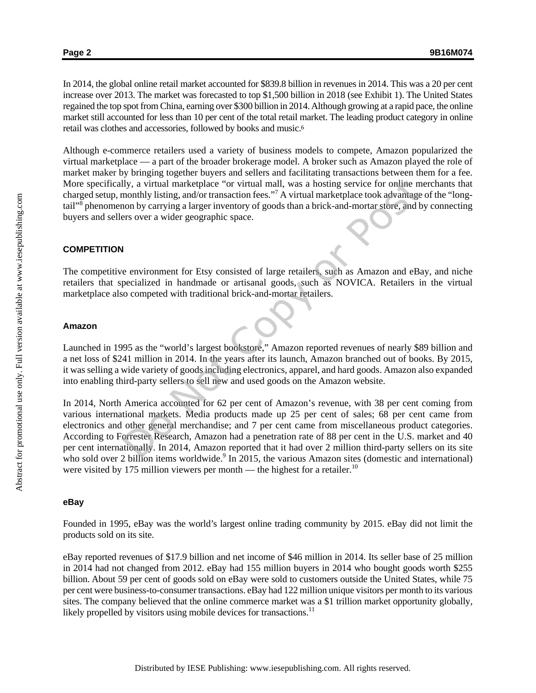In 2014, the global online retail market accounted for \$839.8 billion in revenues in 2014. This was a 20 per cent increase over 2013. The market was forecasted to top \$1,500 billion in 2018 (see Exhibit 1). The United States regained the top spot from China, earning over \$300 billion in 2014. Although growing at a rapid pace, the online market still accounted for less than 10 per cent of the total retail market. The leading product category in online retail was clothes and accessories, followed by books and music.<sup>6</sup>

Although e-commerce retailers used a variety of business models to compete, Amazon popularized the virtual marketplace — a part of the broader brokerage model. A broker such as Amazon played the role of market maker by bringing together buyers and sellers and facilitating transactions between them for a fee. More specifically, a virtual marketplace "or virtual mall, was a hosting service for online merchants that charged setup, monthly listing, and/or transaction fees."<sup>7</sup> A virtual marketplace took advantage of the "longtail"<sup>8</sup> phenomenon by carrying a larger inventory of goods than a brick-and-mortar store, and by connecting buyers and sellers over a wider geographic space.

### **COMPETITION**

The competitive environment for Etsy consisted of large retailers, such as Amazon and eBay, and niche retailers that specialized in handmade or artisanal goods, such as NOVICA. Retailers in the virtual marketplace also competed with traditional brick-and-mortar retailers.

#### **Amazon**

Launched in 1995 as the "world's largest bookstore," Amazon reported revenues of nearly \$89 billion and a net loss of \$241 million in 2014. In the years after its launch, Amazon branched out of books. By 2015, it was selling a wide variety of goods including electronics, apparel, and hard goods. Amazon also expanded into enabling third-party sellers to sell new and used goods on the Amazon website.

In 2014, North America accounted for 62 per cent of Amazon's revenue, with 38 per cent coming from various international markets. Media products made up 25 per cent of sales; 68 per cent came from electronics and other general merchandise; and 7 per cent came from miscellaneous product categories. According to Forrester Research, Amazon had a penetration rate of 88 per cent in the U.S. market and 40 per cent internationally. In 2014, Amazon reported that it had over 2 million third-party sellers on its site who sold over 2 billion items worldwide.<sup>9</sup> In 2015, the various Amazon sites (domestic and international) were visited by 175 million viewers per month — the highest for a retailer.<sup>10</sup>

#### **eBay**

Founded in 1995, eBay was the world's largest online trading community by 2015. eBay did not limit the products sold on its site.

eBay reported revenues of \$17.9 billion and net income of \$46 million in 2014. Its seller base of 25 million in 2014 had not changed from 2012. eBay had 155 million buyers in 2014 who bought goods worth \$255 billion. About 59 per cent of goods sold on eBay were sold to customers outside the United States, while 75 per cent were business-to-consumer transactions. eBay had 122 million unique visitors per month to its various sites. The company believed that the online commerce market was a \$1 trillion market opportunity globally, likely propelled by visitors using mobile devices for transactions.<sup>11</sup>